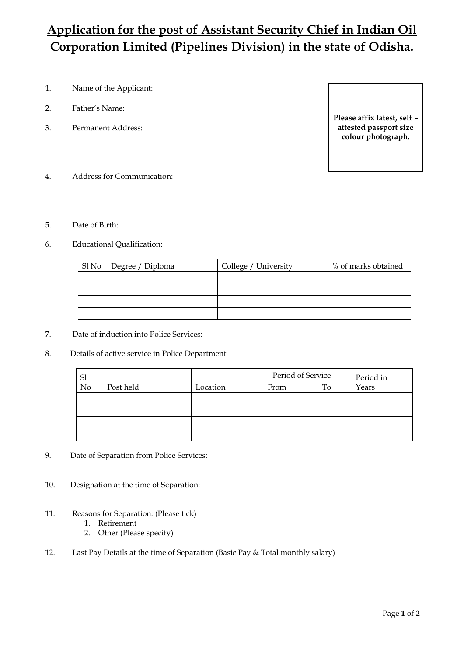## **Application for the post of Assistant Security Chief in Indian Oil Corporation Limited (Pipelines Division) in the state of Odisha.**

- 1. Name of the Applicant:
- 2. Father's Name:
- 3. Permanent Address:

**Please affix latest, self – attested passport size colour photograph.**

- 4. Address for Communication:
- 5. Date of Birth:
- 6. Educational Qualification:

| Sl No Degree / Diploma | College / University | % of marks obtained |
|------------------------|----------------------|---------------------|
|                        |                      |                     |
|                        |                      |                     |
|                        |                      |                     |
|                        |                      |                     |

- 7. Date of induction into Police Services:
- 8. Details of active service in Police Department

|          |           |          | Period of Service |    | Period in |
|----------|-----------|----------|-------------------|----|-----------|
| Sl<br>No | Post held | Location | From              | To | Years     |
|          |           |          |                   |    |           |
|          |           |          |                   |    |           |
|          |           |          |                   |    |           |
|          |           |          |                   |    |           |

- 9. Date of Separation from Police Services:
- 10. Designation at the time of Separation:
- 11. Reasons for Separation: (Please tick)
	- 1. Retirement
	- 2. Other (Please specify)
- 12. Last Pay Details at the time of Separation (Basic Pay & Total monthly salary)